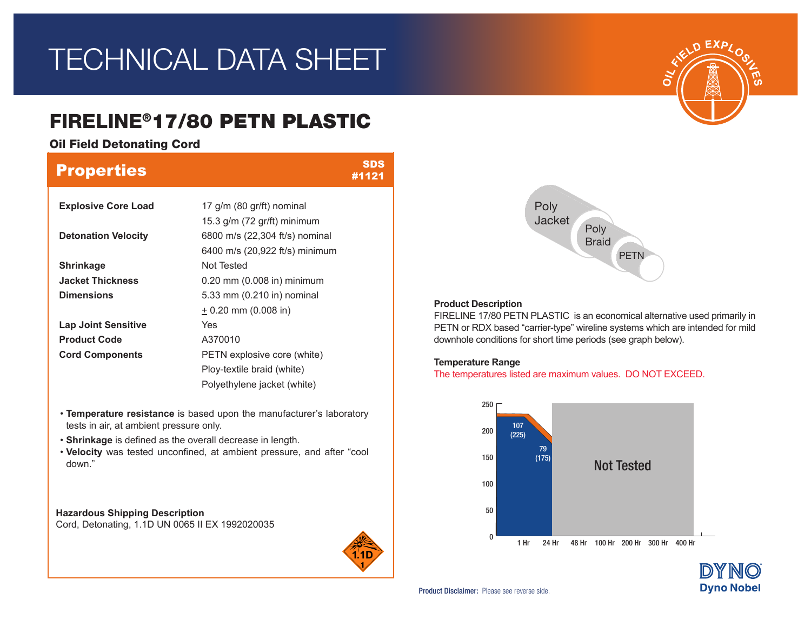# TECHNICAL DATA SHEET

# FIRELINE®17/80 PETN PLASTIC

Oil Field Detonating Cord

| <b>Properties</b>          |                                | SDS<br>#1121 |
|----------------------------|--------------------------------|--------------|
| <b>Explosive Core Load</b> | 17 g/m (80 gr/ft) nominal      |              |
|                            | 15.3 g/m (72 gr/ft) minimum    |              |
| <b>Detonation Velocity</b> | 6800 m/s (22,304 ft/s) nominal |              |
|                            | 6400 m/s (20,922 ft/s) minimum |              |
| <b>Shrinkage</b>           | Not Tested                     |              |
| <b>Jacket Thickness</b>    | $0.20$ mm $(0.008$ in) minimum |              |
| <b>Dimensions</b>          | 5.33 mm (0.210 in) nominal     |              |
|                            | $\pm$ 0.20 mm (0.008 in)       |              |
| <b>Lap Joint Sensitive</b> | Yes                            |              |
| <b>Product Code</b>        | A370010                        |              |
| <b>Cord Components</b>     | PETN explosive core (white)    |              |
|                            | Ploy-textile braid (white)     |              |
|                            | Polyethylene jacket (white)    |              |

- **Temperature resistance** is based upon the manufacturer's laboratory tests in air, at ambient pressure only.
- **Shrinkage** is defined as the overall decrease in length.
- **Velocity** was tested unconfined, at ambient pressure, and after "cool down."

**Hazardous Shipping Description** Cord, Detonating, 1.1D UN 0065 II EX 1992020035







## **Product Description**

FIRELINE 17/80 PETN PLASTIC is an economical alternative used primarily in PETN or RDX based "carrier-type" wireline systems which are intended for mild downhole conditions for short time periods (see graph below).

## **Temperature Range**

The temperatures listed are maximum values. DO NOT EXCEED.



Product Disclaimer: Please see reverse side.